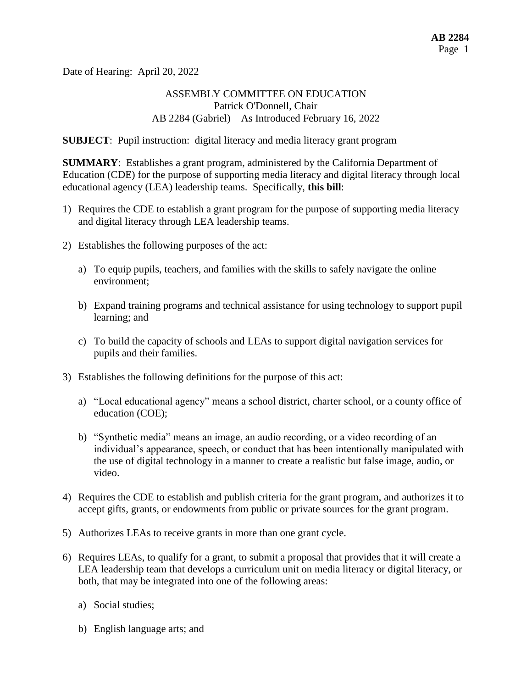Date of Hearing: April 20, 2022

## ASSEMBLY COMMITTEE ON EDUCATION Patrick O'Donnell, Chair AB 2284 (Gabriel) – As Introduced February 16, 2022

**SUBJECT**: Pupil instruction: digital literacy and media literacy grant program

**SUMMARY**: Establishes a grant program, administered by the California Department of Education (CDE) for the purpose of supporting media literacy and digital literacy through local educational agency (LEA) leadership teams. Specifically, **this bill**:

- 1) Requires the CDE to establish a grant program for the purpose of supporting media literacy and digital literacy through LEA leadership teams.
- 2) Establishes the following purposes of the act:
	- a) To equip pupils, teachers, and families with the skills to safely navigate the online environment;
	- b) Expand training programs and technical assistance for using technology to support pupil learning; and
	- c) To build the capacity of schools and LEAs to support digital navigation services for pupils and their families.
- 3) Establishes the following definitions for the purpose of this act:
	- a) "Local educational agency" means a school district, charter school, or a county office of education (COE);
	- b) "Synthetic media" means an image, an audio recording, or a video recording of an individual's appearance, speech, or conduct that has been intentionally manipulated with the use of digital technology in a manner to create a realistic but false image, audio, or video.
- 4) Requires the CDE to establish and publish criteria for the grant program, and authorizes it to accept gifts, grants, or endowments from public or private sources for the grant program.
- 5) Authorizes LEAs to receive grants in more than one grant cycle.
- 6) Requires LEAs, to qualify for a grant, to submit a proposal that provides that it will create a LEA leadership team that develops a curriculum unit on media literacy or digital literacy, or both, that may be integrated into one of the following areas:
	- a) Social studies;
	- b) English language arts; and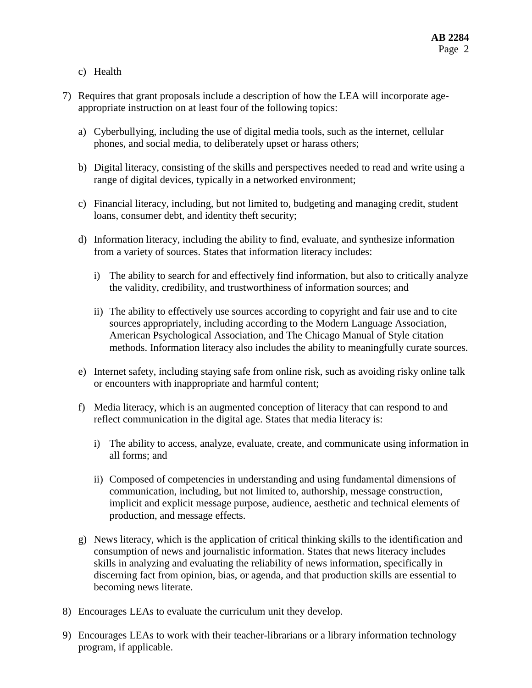- c) Health
- 7) Requires that grant proposals include a description of how the LEA will incorporate ageappropriate instruction on at least four of the following topics:
	- a) Cyberbullying, including the use of digital media tools, such as the internet, cellular phones, and social media, to deliberately upset or harass others;
	- b) Digital literacy, consisting of the skills and perspectives needed to read and write using a range of digital devices, typically in a networked environment;
	- c) Financial literacy, including, but not limited to, budgeting and managing credit, student loans, consumer debt, and identity theft security;
	- d) Information literacy, including the ability to find, evaluate, and synthesize information from a variety of sources. States that information literacy includes:
		- i) The ability to search for and effectively find information, but also to critically analyze the validity, credibility, and trustworthiness of information sources; and
		- ii) The ability to effectively use sources according to copyright and fair use and to cite sources appropriately, including according to the Modern Language Association, American Psychological Association, and The Chicago Manual of Style citation methods. Information literacy also includes the ability to meaningfully curate sources.
	- e) Internet safety, including staying safe from online risk, such as avoiding risky online talk or encounters with inappropriate and harmful content;
	- f) Media literacy, which is an augmented conception of literacy that can respond to and reflect communication in the digital age. States that media literacy is:
		- i) The ability to access, analyze, evaluate, create, and communicate using information in all forms; and
		- ii) Composed of competencies in understanding and using fundamental dimensions of communication, including, but not limited to, authorship, message construction, implicit and explicit message purpose, audience, aesthetic and technical elements of production, and message effects.
	- g) News literacy, which is the application of critical thinking skills to the identification and consumption of news and journalistic information. States that news literacy includes skills in analyzing and evaluating the reliability of news information, specifically in discerning fact from opinion, bias, or agenda, and that production skills are essential to becoming news literate.
- 8) Encourages LEAs to evaluate the curriculum unit they develop.
- 9) Encourages LEAs to work with their teacher-librarians or a library information technology program, if applicable.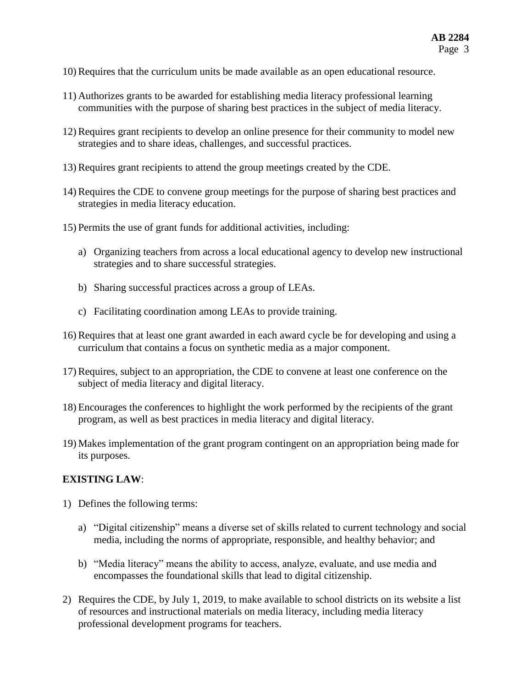- 10) Requires that the curriculum units be made available as an open educational resource.
- 11) Authorizes grants to be awarded for establishing media literacy professional learning communities with the purpose of sharing best practices in the subject of media literacy.
- 12) Requires grant recipients to develop an online presence for their community to model new strategies and to share ideas, challenges, and successful practices.
- 13) Requires grant recipients to attend the group meetings created by the CDE.
- 14) Requires the CDE to convene group meetings for the purpose of sharing best practices and strategies in media literacy education.
- 15) Permits the use of grant funds for additional activities, including:
	- a) Organizing teachers from across a local educational agency to develop new instructional strategies and to share successful strategies.
	- b) Sharing successful practices across a group of LEAs.
	- c) Facilitating coordination among LEAs to provide training.
- 16) Requires that at least one grant awarded in each award cycle be for developing and using a curriculum that contains a focus on synthetic media as a major component.
- 17) Requires, subject to an appropriation, the CDE to convene at least one conference on the subject of media literacy and digital literacy.
- 18) Encourages the conferences to highlight the work performed by the recipients of the grant program, as well as best practices in media literacy and digital literacy.
- 19) Makes implementation of the grant program contingent on an appropriation being made for its purposes.

### **EXISTING LAW**:

- 1) Defines the following terms:
	- a) "Digital citizenship" means a diverse set of skills related to current technology and social media, including the norms of appropriate, responsible, and healthy behavior; and
	- b) "Media literacy" means the ability to access, analyze, evaluate, and use media and encompasses the foundational skills that lead to digital citizenship.
- 2) Requires the CDE, by July 1, 2019, to make available to school districts on its website a list of resources and instructional materials on media literacy, including media literacy professional development programs for teachers.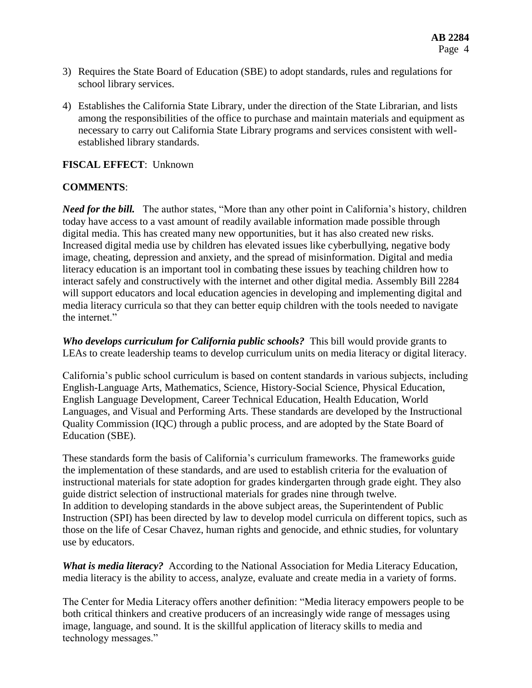- 3) Requires the State Board of Education (SBE) to adopt standards, rules and regulations for school library services.
- 4) Establishes the California State Library, under the direction of the State Librarian, and lists among the responsibilities of the office to purchase and maintain materials and equipment as necessary to carry out California State Library programs and services consistent with wellestablished library standards.

## **FISCAL EFFECT**: Unknown

## **COMMENTS**:

*Need for the bill.* The author states, "More than any other point in California's history, children today have access to a vast amount of readily available information made possible through digital media. This has created many new opportunities, but it has also created new risks. Increased digital media use by children has elevated issues like cyberbullying, negative body image, cheating, depression and anxiety, and the spread of misinformation. Digital and media literacy education is an important tool in combating these issues by teaching children how to interact safely and constructively with the internet and other digital media. Assembly Bill 2284 will support educators and local education agencies in developing and implementing digital and media literacy curricula so that they can better equip children with the tools needed to navigate the internet."

*Who develops curriculum for California public schools?* This bill would provide grants to LEAs to create leadership teams to develop curriculum units on media literacy or digital literacy.

California's public school curriculum is based on content standards in various subjects, including English-Language Arts, Mathematics, Science, History-Social Science, Physical Education, English Language Development, Career Technical Education, Health Education, World Languages, and Visual and Performing Arts. These standards are developed by the Instructional Quality Commission (IQC) through a public process, and are adopted by the State Board of Education (SBE).

These standards form the basis of California's curriculum frameworks. The frameworks guide the implementation of these standards, and are used to establish criteria for the evaluation of instructional materials for state adoption for grades kindergarten through grade eight. They also guide district selection of instructional materials for grades nine through twelve. In addition to developing standards in the above subject areas, the Superintendent of Public Instruction (SPI) has been directed by law to develop model curricula on different topics, such as those on the life of Cesar Chavez, human rights and genocide, and ethnic studies, for voluntary use by educators.

*What is media literacy?* According to the National Association for Media Literacy Education, media literacy is the ability to access, analyze, evaluate and create media in a variety of forms.

The Center for Media Literacy offers another definition: "Media literacy empowers people to be both critical thinkers and creative producers of an increasingly wide range of messages using image, language, and sound. It is the skillful application of literacy skills to media and technology messages."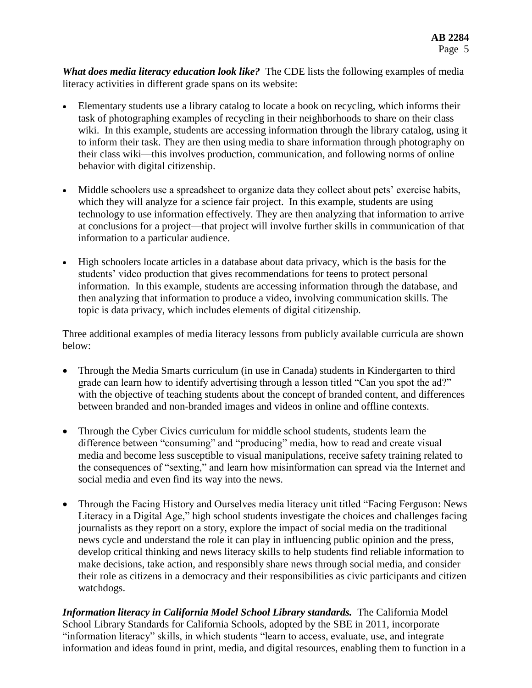*What does media literacy education look like?* The CDE lists the following examples of media literacy activities in different grade spans on its website:

- Elementary students use a library catalog to locate a book on recycling, which informs their task of photographing examples of recycling in their neighborhoods to share on their class wiki. In this example, students are accessing information through the library catalog, using it to inform their task. They are then using media to share information through photography on their class wiki—this involves production, communication, and following norms of online behavior with digital citizenship.
- Middle schoolers use a spreadsheet to organize data they collect about pets' exercise habits, which they will analyze for a science fair project. In this example, students are using technology to use information effectively. They are then analyzing that information to arrive at conclusions for a project—that project will involve further skills in communication of that information to a particular audience.
- High schoolers locate articles in a database about data privacy, which is the basis for the students' video production that gives recommendations for teens to protect personal information. In this example, students are accessing information through the database, and then analyzing that information to produce a video, involving communication skills. The topic is data privacy, which includes elements of digital citizenship.

Three additional examples of media literacy lessons from publicly available curricula are shown below:

- Through the Media Smarts curriculum (in use in Canada) students in Kindergarten to third grade can learn how to identify advertising through a lesson titled "Can you spot the ad?" with the objective of teaching students about the concept of branded content, and differences between branded and non-branded images and videos in online and offline contexts.
- Through the Cyber Civics curriculum for middle school students, students learn the difference between "consuming" and "producing" media, how to read and create visual media and become less susceptible to visual manipulations, receive safety training related to the consequences of "sexting," and learn how misinformation can spread via the Internet and social media and even find its way into the news.
- Through the Facing History and Ourselves media literacy unit titled "Facing Ferguson: News Literacy in a Digital Age," high school students investigate the choices and challenges facing journalists as they report on a story, explore the impact of social media on the traditional news cycle and understand the role it can play in influencing public opinion and the press, develop critical thinking and news literacy skills to help students find reliable information to make decisions, take action, and responsibly share news through social media, and consider their role as citizens in a democracy and their responsibilities as civic participants and citizen watchdogs.

*Information literacy in California Model School Library standards.*The California Model School Library Standards for California Schools, adopted by the SBE in 2011, incorporate "information literacy" skills, in which students "learn to access, evaluate, use, and integrate information and ideas found in print, media, and digital resources, enabling them to function in a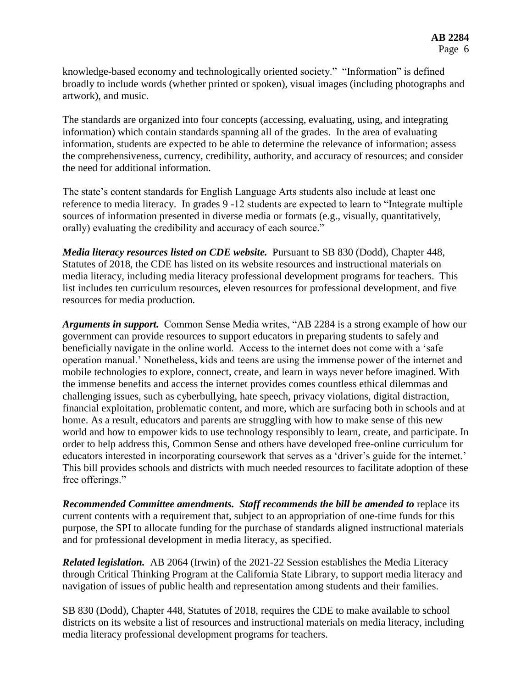knowledge-based economy and technologically oriented society." "Information" is defined broadly to include words (whether printed or spoken), visual images (including photographs and artwork), and music.

The standards are organized into four concepts (accessing, evaluating, using, and integrating information) which contain standards spanning all of the grades. In the area of evaluating information, students are expected to be able to determine the relevance of information; assess the comprehensiveness, currency, credibility, authority, and accuracy of resources; and consider the need for additional information.

The state's content standards for English Language Arts students also include at least one reference to media literacy. In grades 9 -12 students are expected to learn to "Integrate multiple sources of information presented in diverse media or formats (e.g., visually, quantitatively, orally) evaluating the credibility and accuracy of each source."

*Media literacy resources listed on CDE website.* Pursuant to SB 830 (Dodd), Chapter 448, Statutes of 2018, the CDE has listed on its website resources and instructional materials on media literacy, including media literacy professional development programs for teachers. This list includes ten curriculum resources, eleven resources for professional development, and five resources for media production.

*Arguments in support.* Common Sense Media writes, "AB 2284 is a strong example of how our government can provide resources to support educators in preparing students to safely and beneficially navigate in the online world. Access to the internet does not come with a 'safe operation manual.' Nonetheless, kids and teens are using the immense power of the internet and mobile technologies to explore, connect, create, and learn in ways never before imagined. With the immense benefits and access the internet provides comes countless ethical dilemmas and challenging issues, such as cyberbullying, hate speech, privacy violations, digital distraction, financial exploitation, problematic content, and more, which are surfacing both in schools and at home. As a result, educators and parents are struggling with how to make sense of this new world and how to empower kids to use technology responsibly to learn, create, and participate. In order to help address this, Common Sense and others have developed free-online curriculum for educators interested in incorporating coursework that serves as a 'driver's guide for the internet.' This bill provides schools and districts with much needed resources to facilitate adoption of these free offerings."

*Recommended Committee amendments. Staff recommends the bill be amended to* replace its current contents with a requirement that, subject to an appropriation of one-time funds for this purpose, the SPI to allocate funding for the purchase of standards aligned instructional materials and for professional development in media literacy, as specified.

*Related legislation.* AB 2064 (Irwin) of the 2021-22 Session establishes the Media Literacy through Critical Thinking Program at the California State Library, to support media literacy and navigation of issues of public health and representation among students and their families.

SB 830 (Dodd), Chapter 448, Statutes of 2018, requires the CDE to make available to school districts on its website a list of resources and instructional materials on media literacy, including media literacy professional development programs for teachers.